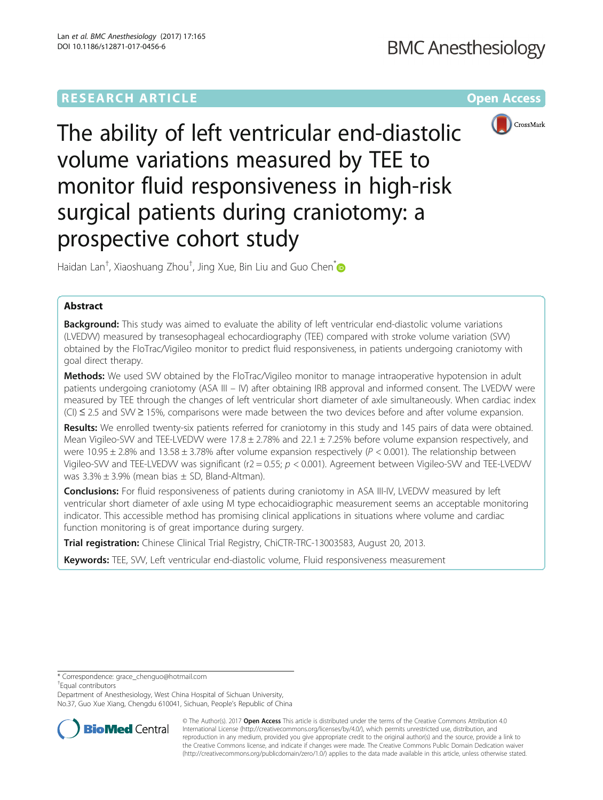# **RESEARCH ARTICLE External Structure of the Community Community Community Community Community Community Community**



The ability of left ventricular end-diastolic volume variations measured by TEE to monitor fluid responsiveness in high-risk surgical patients during craniotomy: a prospective cohort study

Haidan Lan<sup>t</sup>, Xiaoshuang Zhou<sup>t</sup>, Jing Xue, Bin Liu and Guo Chen<sup>\*</sup>

# Abstract

**Background:** This study was aimed to evaluate the ability of left ventricular end-diastolic volume variations (LVEDVV) measured by transesophageal echocardiography (TEE) compared with stroke volume variation (SVV) obtained by the FloTrac/Vigileo monitor to predict fluid responsiveness, in patients undergoing craniotomy with goal direct therapy.

Methods: We used SW obtained by the FloTrac/Vigileo monitor to manage intraoperative hypotension in adult patients undergoing craniotomy (ASA III – IV) after obtaining IRB approval and informed consent. The LVEDVV were measured by TEE through the changes of left ventricular short diameter of axle simultaneously. When cardiac index (CI) ≤ 2.5 and SVV ≥ 15%, comparisons were made between the two devices before and after volume expansion.

Results: We enrolled twenty-six patients referred for craniotomy in this study and 145 pairs of data were obtained. Mean Vigileo-SVV and TEE-LVEDVV were  $17.8 \pm 2.78\%$  and  $22.1 \pm 7.25\%$  before volume expansion respectively, and were 10.95  $\pm$  2.8% and 13.58  $\pm$  3.78% after volume expansion respectively ( $P < 0.001$ ). The relationship between Vigileo-SVV and TEE-LVEDVV was significant ( $r2 = 0.55$ ;  $p < 0.001$ ). Agreement between Vigileo-SVV and TEE-LVEDVV was  $3.3\% \pm 3.9\%$  (mean bias  $\pm$  SD, Bland-Altman).

Conclusions: For fluid responsiveness of patients during craniotomy in ASA III-IV, LVEDVV measured by left ventricular short diameter of axle using M type echocaidiographic measurement seems an acceptable monitoring indicator. This accessible method has promising clinical applications in situations where volume and cardiac function monitoring is of great importance during surgery.

Trial registration: Chinese Clinical Trial Registry, [ChiCTR-TRC-13003583,](http://www.chictr.org.cn/showproj.aspx?proj=5977) August 20, 2013.

Keywords: TEE, SVV, Left ventricular end-diastolic volume, Fluid responsiveness measurement

Equal contributors

Department of Anesthesiology, West China Hospital of Sichuan University, No.37, Guo Xue Xiang, Chengdu 610041, Sichuan, People's Republic of China



© The Author(s). 2017 **Open Access** This article is distributed under the terms of the Creative Commons Attribution 4.0 International License [\(http://creativecommons.org/licenses/by/4.0/](http://creativecommons.org/licenses/by/4.0/)), which permits unrestricted use, distribution, and reproduction in any medium, provided you give appropriate credit to the original author(s) and the source, provide a link to the Creative Commons license, and indicate if changes were made. The Creative Commons Public Domain Dedication waiver [\(http://creativecommons.org/publicdomain/zero/1.0/](http://creativecommons.org/publicdomain/zero/1.0/)) applies to the data made available in this article, unless otherwise stated.

<sup>\*</sup> Correspondence: [grace\\_chenguo@hotmail.com](mailto:grace_chenguo@hotmail.com) †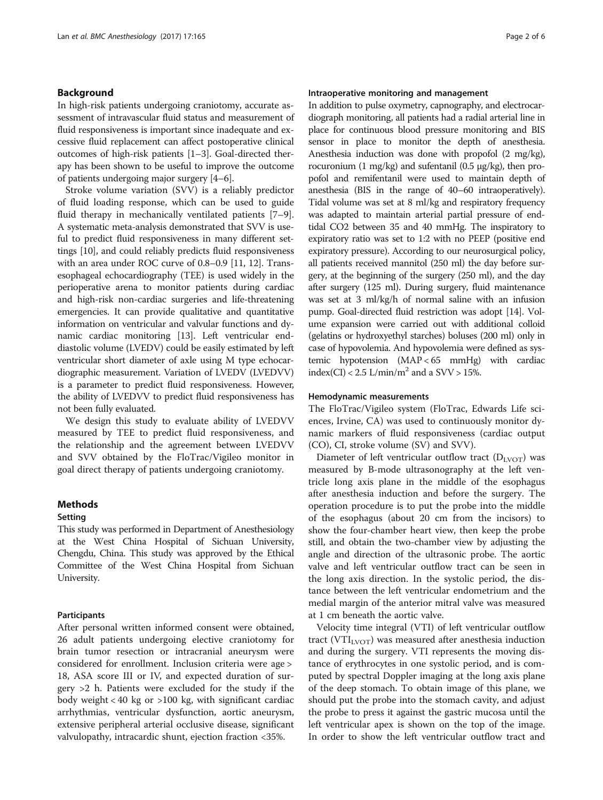## Background

In high-risk patients undergoing craniotomy, accurate assessment of intravascular fluid status and measurement of fluid responsiveness is important since inadequate and excessive fluid replacement can affect postoperative clinical outcomes of high-risk patients [\[1](#page-5-0)–[3\]](#page-5-0). Goal-directed therapy has been shown to be useful to improve the outcome of patients undergoing major surgery [[4](#page-5-0)–[6](#page-5-0)].

Stroke volume variation (SVV) is a reliably predictor of fluid loading response, which can be used to guide fluid therapy in mechanically ventilated patients [\[7](#page-5-0)–[9](#page-5-0)]. A systematic meta-analysis demonstrated that SVV is useful to predict fluid responsiveness in many different settings [\[10\]](#page-5-0), and could reliably predicts fluid responsiveness with an area under ROC curve of 0.8–0.9 [[11](#page-5-0), [12](#page-5-0)]. Transesophageal echocardiography (TEE) is used widely in the perioperative arena to monitor patients during cardiac and high-risk non-cardiac surgeries and life-threatening emergencies. It can provide qualitative and quantitative information on ventricular and valvular functions and dynamic cardiac monitoring [\[13\]](#page-5-0). Left ventricular enddiastolic volume (LVEDV) could be easily estimated by left ventricular short diameter of axle using M type echocardiographic measurement. Variation of LVEDV (LVEDVV) is a parameter to predict fluid responsiveness. However, the ability of LVEDVV to predict fluid responsiveness has not been fully evaluated.

We design this study to evaluate ability of LVEDVV measured by TEE to predict fluid responsiveness, and the relationship and the agreement between LVEDVV and SVV obtained by the FloTrac/Vigileo monitor in goal direct therapy of patients undergoing craniotomy.

#### Methods

#### Setting

This study was performed in Department of Anesthesiology at the West China Hospital of Sichuan University, Chengdu, China. This study was approved by the Ethical Committee of the West China Hospital from Sichuan University.

#### Participants

After personal written informed consent were obtained, 26 adult patients undergoing elective craniotomy for brain tumor resection or intracranial aneurysm were considered for enrollment. Inclusion criteria were age > 18, ASA score III or IV, and expected duration of surgery >2 h. Patients were excluded for the study if the body weight < 40 kg or >100 kg, with significant cardiac arrhythmias, ventricular dysfunction, aortic aneurysm, extensive peripheral arterial occlusive disease, significant valvulopathy, intracardic shunt, ejection fraction <35%.

## Intraoperative monitoring and management

In addition to pulse oxymetry, capnography, and electrocardiograph monitoring, all patients had a radial arterial line in place for continuous blood pressure monitoring and BIS sensor in place to monitor the depth of anesthesia. Anesthesia induction was done with propofol (2 mg/kg), rocuronium (1 mg/kg) and sufentanil (0.5 μg/kg), then propofol and remifentanil were used to maintain depth of anesthesia (BIS in the range of 40–60 intraoperatively). Tidal volume was set at 8 ml/kg and respiratory frequency was adapted to maintain arterial partial pressure of endtidal CO2 between 35 and 40 mmHg. The inspiratory to expiratory ratio was set to 1:2 with no PEEP (positive end expiratory pressure). According to our neurosurgical policy, all patients received mannitol (250 ml) the day before surgery, at the beginning of the surgery (250 ml), and the day after surgery (125 ml). During surgery, fluid maintenance was set at 3 ml/kg/h of normal saline with an infusion pump. Goal-directed fluid restriction was adopt [\[14](#page-5-0)]. Volume expansion were carried out with additional colloid (gelatins or hydroxyethyl starches) boluses (200 ml) only in case of hypovolemia. And hypovolemia were defined as systemic hypotension (MAP < 65 mmHg) with cardiac index(CI) < 2.5 L/min/m<sup>2</sup> and a SVV > 15%.

#### Hemodynamic measurements

The FloTrac/Vigileo system (FloTrac, Edwards Life sciences, Irvine, CA) was used to continuously monitor dynamic markers of fluid responsiveness (cardiac output (CO), CI, stroke volume (SV) and SVV).

Diameter of left ventricular outflow tract  $(D_{LVOT})$  was measured by B-mode ultrasonography at the left ventricle long axis plane in the middle of the esophagus after anesthesia induction and before the surgery. The operation procedure is to put the probe into the middle of the esophagus (about 20 cm from the incisors) to show the four-chamber heart view, then keep the probe still, and obtain the two-chamber view by adjusting the angle and direction of the ultrasonic probe. The aortic valve and left ventricular outflow tract can be seen in the long axis direction. In the systolic period, the distance between the left ventricular endometrium and the medial margin of the anterior mitral valve was measured at 1 cm beneath the aortic valve.

Velocity time integral (VTI) of left ventricular outflow tract ( $VTI<sub>LVOT</sub>$ ) was measured after anesthesia induction and during the surgery. VTI represents the moving distance of erythrocytes in one systolic period, and is computed by spectral Doppler imaging at the long axis plane of the deep stomach. To obtain image of this plane, we should put the probe into the stomach cavity, and adjust the probe to press it against the gastric mucosa until the left ventricular apex is shown on the top of the image. In order to show the left ventricular outflow tract and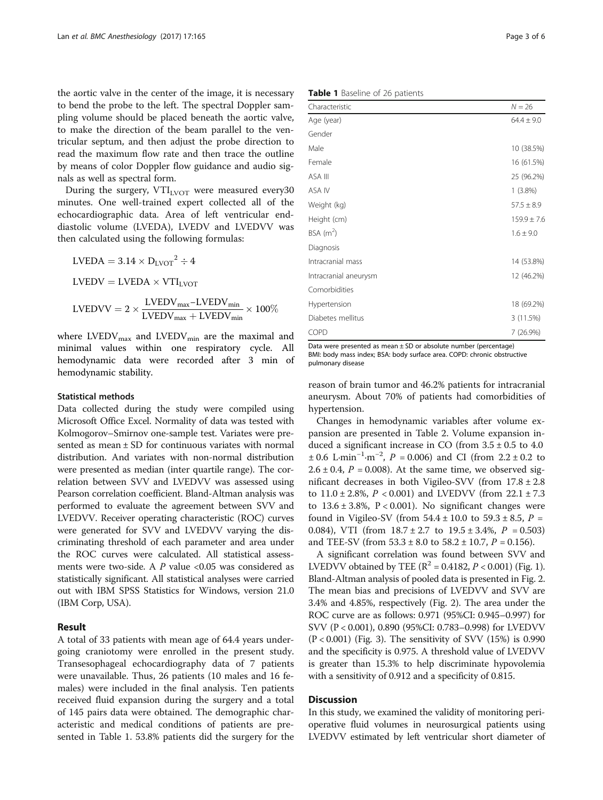the aortic valve in the center of the image, it is necessary to bend the probe to the left. The spectral Doppler sampling volume should be placed beneath the aortic valve, to make the direction of the beam parallel to the ventricular septum, and then adjust the probe direction to read the maximum flow rate and then trace the outline by means of color Doppler flow guidance and audio signals as well as spectral form.

During the surgery,  $VTI<sub>IVOT</sub>$  were measured every 30 minutes. One well-trained expert collected all of the echocardiographic data. Area of left ventricular enddiastolic volume (LVEDA), LVEDV and LVEDVV was then calculated using the following formulas:

$$
LVEDA = 3.14 \times D_{LVOT}^2 \div 4
$$

 $LVEDV = LVEDA \times VTI<sub>LVOT</sub>$ 

$$
LVEDVV = 2 \times \frac{LVEDV_{max} - LVEDV_{min}}{LVEDV_{max} + LVEDV_{min}} \times 100\%
$$

where  $\text{LVEDV}_{\text{max}}$  and  $\text{LVEDV}_{\text{min}}$  are the maximal and minimal values within one respiratory cycle. All hemodynamic data were recorded after 3 min of hemodynamic stability.

#### Statistical methods

Data collected during the study were compiled using Microsoft Office Excel. Normality of data was tested with Kolmogorov–Smirnov one-sample test. Variates were presented as mean ± SD for continuous variates with normal distribution. And variates with non-normal distribution were presented as median (inter quartile range). The correlation between SVV and LVEDVV was assessed using Pearson correlation coefficient. Bland-Altman analysis was performed to evaluate the agreement between SVV and LVEDVV. Receiver operating characteristic (ROC) curves were generated for SVV and LVEDVV varying the discriminating threshold of each parameter and area under the ROC curves were calculated. All statistical assessments were two-side. A  $P$  value <0.05 was considered as statistically significant. All statistical analyses were carried out with IBM SPSS Statistics for Windows, version 21.0 (IBM Corp, USA).

## Result

A total of 33 patients with mean age of 64.4 years undergoing craniotomy were enrolled in the present study. Transesophageal echocardiography data of 7 patients were unavailable. Thus, 26 patients (10 males and 16 females) were included in the final analysis. Ten patients received fluid expansion during the surgery and a total of 145 pairs data were obtained. The demographic characteristic and medical conditions of patients are presented in Table 1. 53.8% patients did the surgery for the

Table 1 Baseline of 26 patients

| Characteristic          | $N = 26$        |
|-------------------------|-----------------|
| Age (year)              | $64.4 \pm 9.0$  |
| Gender                  |                 |
| Male                    | 10 (38.5%)      |
| Female                  | 16 (61.5%)      |
| ASA III                 | 25 (96.2%)      |
| ASA IV                  | $1(3.8\%)$      |
| Weight (kg)             | $57.5 \pm 8.9$  |
| Height (cm)             | $159.9 \pm 7.6$ |
| $BSA$ (m <sup>2</sup> ) | $1.6 \pm 9.0$   |
| Diagnosis               |                 |
| Intracranial mass       | 14 (53.8%)      |
| Intracranial aneurysm   | 12 (46.2%)      |
| Comorbidities           |                 |
| Hypertension            | 18 (69.2%)      |
| Diabetes mellitus       | 3(11.5%)        |
| COPD                    | 7 (26.9%)       |

Data were presented as mean ± SD or absolute number (percentage) BMI: body mass index; BSA: body surface area. COPD: chronic obstructive pulmonary disease

reason of brain tumor and 46.2% patients for intracranial aneurysm. About 70% of patients had comorbidities of hypertension.

Changes in hemodynamic variables after volume expansion are presented in Table [2](#page-3-0). Volume expansion induced a significant increase in CO (from  $3.5 \pm 0.5$  to 4.0  $\pm$  0.6 L·min<sup>-1</sup>·m<sup>-2</sup>, *P* = 0.006) and CI (from 2.2  $\pm$  0.2 to  $2.6 \pm 0.4$ ,  $P = 0.008$ ). At the same time, we observed significant decreases in both Vigileo-SVV (from  $17.8 \pm 2.8$ to  $11.0 \pm 2.8$ %,  $P < 0.001$ ) and LVEDVV (from  $22.1 \pm 7.3$ to  $13.6 \pm 3.8$ %,  $P < 0.001$ ). No significant changes were found in Vigileo-SV (from  $54.4 \pm 10.0$  to  $59.3 \pm 8.5$ ,  $P =$ 0.084), VTI (from  $18.7 \pm 2.7$  to  $19.5 \pm 3.4$ %,  $P = 0.503$ ) and TEE-SV (from  $53.3 \pm 8.0$  to  $58.2 \pm 10.7$ ,  $P = 0.156$ ).

A significant correlation was found between SVV and LVEDVV obtained by TEE ( $R^2 = 0.4182$ ,  $P < 0.001$ ) (Fig. [1](#page-3-0)). Bland-Altman analysis of pooled data is presented in Fig. [2](#page-4-0). The mean bias and precisions of LVEDVV and SVV are 3.4% and 4.85%, respectively (Fig. [2](#page-4-0)). The area under the ROC curve are as follows: 0.971 (95%CI: 0.945–0.997) for SVV (P < 0.001), 0.890 (95%CI: 0.783–0.998) for LVEDVV (P < 0.001) (Fig. [3](#page-4-0)). The sensitivity of SVV (15%) is 0.990 and the specificity is 0.975. A threshold value of LVEDVV is greater than 15.3% to help discriminate hypovolemia with a sensitivity of 0.912 and a specificity of 0.815.

#### Discussion

In this study, we examined the validity of monitoring perioperative fluid volumes in neurosurgical patients using LVEDVV estimated by left ventricular short diameter of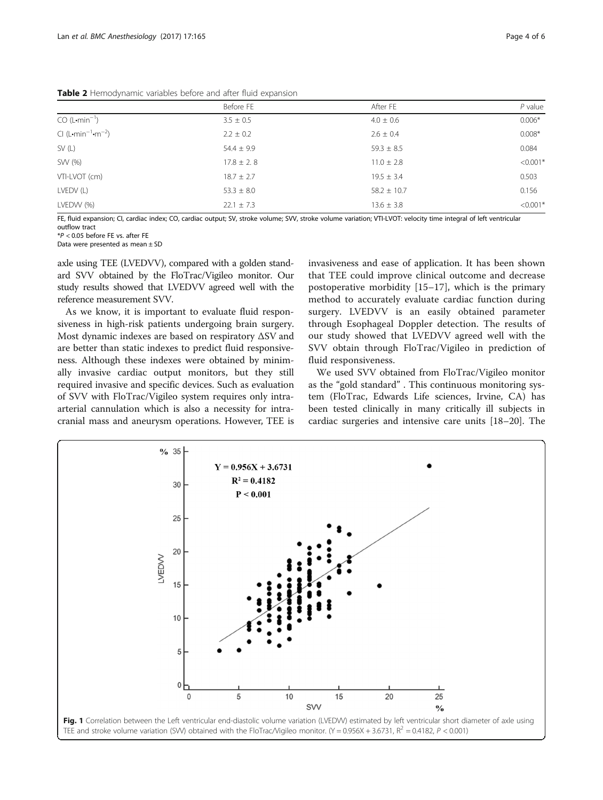|                                      | Before FE      | After FE        | $P$ value  |  |
|--------------------------------------|----------------|-----------------|------------|--|
| $CO (L \cdot min^{-1})$              | $3.5 \pm 0.5$  | $4.0 \pm 0.6$   | $0.006*$   |  |
| $Cl (L \cdot min^{-1} \cdot m^{-2})$ | $2.2 \pm 0.2$  | $2.6 \pm 0.4$   | $0.008*$   |  |
| SV(L)                                | $54.4 \pm 9.9$ | $59.3 \pm 8.5$  | 0.084      |  |
| SW (%)                               | $17.8 \pm 2.8$ | $11.0 \pm 2.8$  | $< 0.001*$ |  |
| VTI-LVOT (cm)                        | $18.7 \pm 2.7$ | $19.5 \pm 3.4$  | 0.503      |  |
| LVEDV(L)                             | $53.3 \pm 8.0$ | $58.2 \pm 10.7$ | 0.156      |  |
| LVEDVV (%)                           | $22.1 \pm 7.3$ | $13.6 \pm 3.8$  | $< 0.001*$ |  |

<span id="page-3-0"></span>Table 2 Hemodynamic variables before and after fluid expansion

FE, fluid expansion; CI, cardiac index; CO, cardiac output; SV, stroke volume; SVV, stroke volume variation; VTI-LVOT: velocity time integral of left ventricular outflow tract<br> $*P < 0.05$  before FF vs. after FF

\*P < 0.05 before FE vs. after FE Data were presented as mean ± SD

axle using TEE (LVEDVV), compared with a golden standard SVV obtained by the FloTrac/Vigileo monitor. Our study results showed that LVEDVV agreed well with the reference measurement SVV.

As we know, it is important to evaluate fluid responsiveness in high-risk patients undergoing brain surgery. Most dynamic indexes are based on respiratory ΔSV and are better than static indexes to predict fluid responsiveness. Although these indexes were obtained by minimally invasive cardiac output monitors, but they still required invasive and specific devices. Such as evaluation of SVV with FloTrac/Vigileo system requires only intraarterial cannulation which is also a necessity for intracranial mass and aneurysm operations. However, TEE is invasiveness and ease of application. It has been shown that TEE could improve clinical outcome and decrease postoperative morbidity [[15](#page-5-0)–[17](#page-5-0)], which is the primary method to accurately evaluate cardiac function during surgery. LVEDVV is an easily obtained parameter through Esophageal Doppler detection. The results of our study showed that LVEDVV agreed well with the SVV obtain through FloTrac/Vigileo in prediction of fluid responsiveness.

We used SVV obtained from FloTrac/Vigileo monitor as the "gold standard" . This continuous monitoring system (FloTrac, Edwards Life sciences, Irvine, CA) has been tested clinically in many critically ill subjects in cardiac surgeries and intensive care units [\[18](#page-5-0)–[20\]](#page-5-0). The

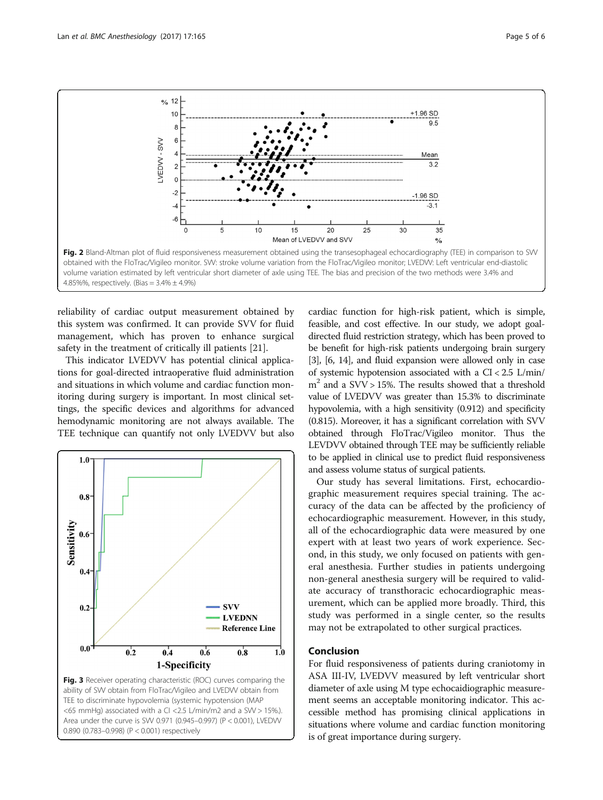

<span id="page-4-0"></span>

reliability of cardiac output measurement obtained by this system was confirmed. It can provide SVV for fluid management, which has proven to enhance surgical safety in the treatment of critically ill patients [[21\]](#page-5-0).

This indicator LVEDVV has potential clinical applications for goal-directed intraoperative fluid administration and situations in which volume and cardiac function monitoring during surgery is important. In most clinical settings, the specific devices and algorithms for advanced hemodynamic monitoring are not always available. The TEE technique can quantify not only LVEDVV but also



<65 mmHg) associated with a CI <2.5 L/min/m2 and a SVV > 15%.). Area under the curve is SVV 0.971 (0.945–0.997) (P < 0.001), LVEDVV 0.890 (0.783–0.998) (P < 0.001) respectively

cardiac function for high-risk patient, which is simple, feasible, and cost effective. In our study, we adopt goaldirected fluid restriction strategy, which has been proved to be benefit for high-risk patients undergoing brain surgery [[3](#page-5-0)], [\[6, 14\]](#page-5-0), and fluid expansion were allowed only in case of systemic hypotension associated with a CI < 2.5 L/min/  $m<sup>2</sup>$  and a SVV > 15%. The results showed that a threshold value of LVEDVV was greater than 15.3% to discriminate hypovolemia, with a high sensitivity (0.912) and specificity (0.815). Moreover, it has a significant correlation with SVV obtained through FloTrac/Vigileo monitor. Thus the LEVDVV obtained through TEE may be sufficiently reliable to be applied in clinical use to predict fluid responsiveness and assess volume status of surgical patients.

Our study has several limitations. First, echocardiographic measurement requires special training. The accuracy of the data can be affected by the proficiency of echocardiographic measurement. However, in this study, all of the echocardiographic data were measured by one expert with at least two years of work experience. Second, in this study, we only focused on patients with general anesthesia. Further studies in patients undergoing non-general anesthesia surgery will be required to validate accuracy of transthoracic echocardiographic measurement, which can be applied more broadly. Third, this study was performed in a single center, so the results may not be extrapolated to other surgical practices.

## Conclusion

For fluid responsiveness of patients during craniotomy in ASA III-IV, LVEDVV measured by left ventricular short diameter of axle using M type echocaidiographic measurement seems an acceptable monitoring indicator. This accessible method has promising clinical applications in situations where volume and cardiac function monitoring is of great importance during surgery.